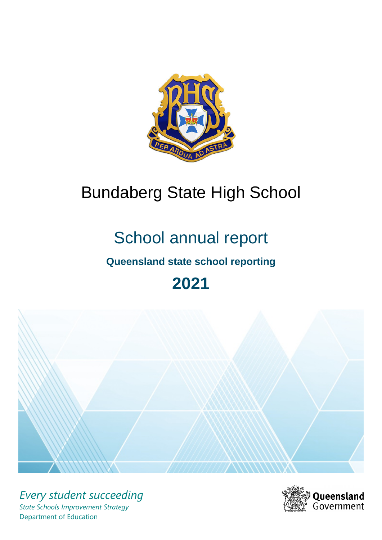

# Bundaberg State High School

# School annual report

# **Queensland state school reporting**

# **2021**



*Every student succeeding State Schools Improvement Strategy* Department of Education

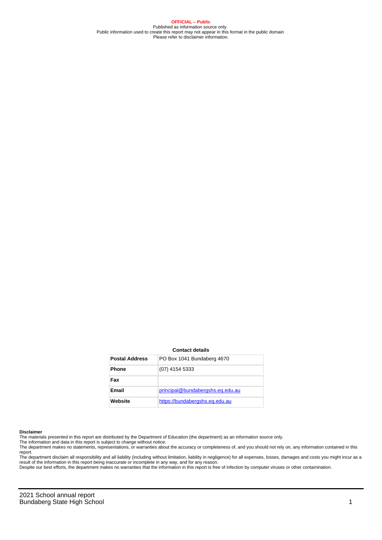**OFFICIAL – Public** Published as information source only. Public information used to create this report may not appear in this format in the public domain Please refer to disclaimer information.

#### **Contact details**

| <b>Postal Address</b> | PO Box 1041 Bundaberg 4670       |
|-----------------------|----------------------------------|
| <b>Phone</b>          | (07) 4154 5333                   |
| Fax                   |                                  |
| <b>Email</b>          | principal@bundabergshs.eq.edu.au |
| Website               | https://bundabergshs.eg.edu.au   |

#### **Disclaimer**

The materials presented in this report are distributed by the Department of Education (the department) as an information source only.

The information and data in this report is subject to change without notice.<br>The department makes no statements, representations, or warranties about the accuracy or completeness of, and you should not rely on, any informa report. The department disclaim all responsibility and all liability (including without limitation, liability in negligence) for all expenses, losses, damages and costs you might incur as a

result of the information in this report being inaccurate or incomplete in any way, and for any reason.

Despite our best efforts, the department makes no warranties that the information in this report is free of infection by computer viruses or other contamination.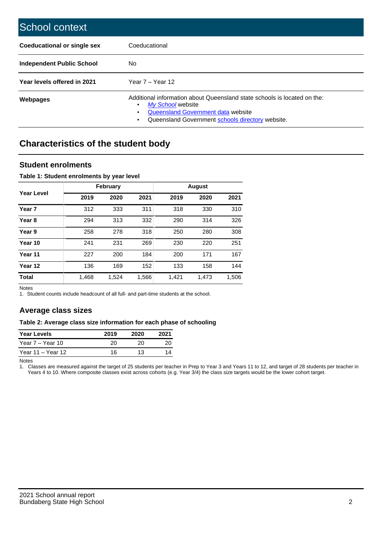| School context                   |                                                                                                                                                                                              |
|----------------------------------|----------------------------------------------------------------------------------------------------------------------------------------------------------------------------------------------|
| Coeducational or single sex      | Coeducational                                                                                                                                                                                |
| <b>Independent Public School</b> | No.                                                                                                                                                                                          |
| Year levels offered in 2021      | Year $7 -$ Year 12                                                                                                                                                                           |
| Webpages                         | Additional information about Queensland state schools is located on the:<br>My School website<br>Queensland Government data website<br>Queensland Government schools directory website.<br>٠ |

# **Characteristics of the student body**

## **Student enrolments**

### **Table 1: Student enrolments by year level**

|                   |       | <b>February</b> |       | <b>August</b> |       |       |  |
|-------------------|-------|-----------------|-------|---------------|-------|-------|--|
| Year Level        | 2019  | 2020            | 2021  | 2019          | 2020  | 2021  |  |
| Year <sub>7</sub> | 312   | 333             | 311   | 318           | 330   | 310   |  |
| Year 8            | 294   | 313             | 332   | 290           | 314   | 326   |  |
| Year 9            | 258   | 278             | 318   | 250           | 280   | 308   |  |
| Year 10           | 241   | 231             | 269   | 230           | 220   | 251   |  |
| Year 11           | 227   | 200             | 184   | 200           | 171   | 167   |  |
| Year 12           | 136   | 169             | 152   | 133           | 158   | 144   |  |
| <b>Total</b>      | 1,468 | 1,524           | 1,566 | 1,421         | 1,473 | 1,506 |  |

Notes

1. Student counts include headcount of all full- and part-time students at the school.

# **Average class sizes**

#### **Table 2: Average class size information for each phase of schooling**

| <b>Year Levels</b> | 2019 | 2020 | 2021 |
|--------------------|------|------|------|
| Year 7 – Year 10   | 20   | 20   | 20   |
| Year 11 – Year 12  | 16   | 13   |      |

Notes

1. Classes are measured against the target of 25 students per teacher in Prep to Year 3 and Years 11 to 12, and target of 28 students per teacher in Years 4 to 10. Where composite classes exist across cohorts (e.g. Year 3/4) the class size targets would be the lower cohort target.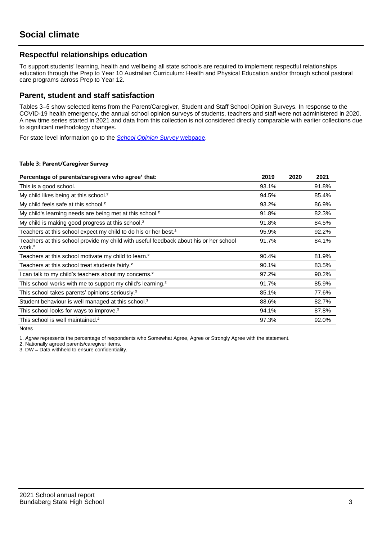# **Respectful relationships education**

To support students' learning, health and wellbeing all state schools are required to implement respectful relationships education through the Prep to Year 10 Australian Curriculum: Health and Physical Education and/or through school pastoral care programs across Prep to Year 12.

## **Parent, student and staff satisfaction**

Tables 3–5 show selected items from the Parent/Caregiver, Student and Staff School Opinion Surveys. In response to the COVID-19 health emergency, the annual school opinion surveys of students, teachers and staff were not administered in 2020. A new time series started in 2021 and data from this collection is not considered directly comparable with earlier collections due to significant methodology changes.

For state level information go to the **[School Opinion Survey](https://qed.qld.gov.au/publications/reports/statistics/schooling/schools/schoolopinionsurvey) webpage**.

#### **Table 3: Parent/Caregiver Survey**

| Percentage of parents/caregivers who agree <sup>1</sup> that:                                               | 2019  | 2020 | 2021  |
|-------------------------------------------------------------------------------------------------------------|-------|------|-------|
| This is a good school.                                                                                      | 93.1% |      | 91.8% |
| My child likes being at this school. <sup>2</sup>                                                           | 94.5% |      | 85.4% |
| My child feels safe at this school. <sup>2</sup>                                                            | 93.2% |      | 86.9% |
| My child's learning needs are being met at this school. <sup>2</sup>                                        | 91.8% |      | 82.3% |
| My child is making good progress at this school. <sup>2</sup>                                               | 91.8% |      | 84.5% |
| Teachers at this school expect my child to do his or her best. <sup>2</sup>                                 | 95.9% |      | 92.2% |
| Teachers at this school provide my child with useful feedback about his or her school<br>work. <sup>2</sup> | 91.7% |      | 84.1% |
| Teachers at this school motivate my child to learn. <sup>2</sup>                                            | 90.4% |      | 81.9% |
| Teachers at this school treat students fairly. <sup>2</sup>                                                 | 90.1% |      | 83.5% |
| can talk to my child's teachers about my concerns. <sup>2</sup>                                             | 97.2% |      | 90.2% |
| This school works with me to support my child's learning. <sup>2</sup>                                      | 91.7% |      | 85.9% |
| This school takes parents' opinions seriously. <sup>2</sup>                                                 | 85.1% |      | 77.6% |
| Student behaviour is well managed at this school. <sup>2</sup>                                              | 88.6% |      | 82.7% |
| This school looks for ways to improve. <sup>2</sup>                                                         | 94.1% |      | 87.8% |
| This school is well maintained. <sup>2</sup>                                                                | 97.3% |      | 92.0% |

Notes

1. Agree represents the percentage of respondents who Somewhat Agree, Agree or Strongly Agree with the statement.

2. Nationally agreed parents/caregiver items.

3. DW = Data withheld to ensure confidentiality.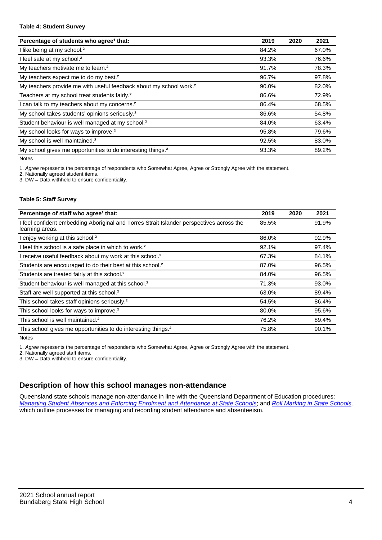#### **Table 4: Student Survey**

| Percentage of students who agree <sup>1</sup> that:                            | 2019  | 2020 | 2021  |
|--------------------------------------------------------------------------------|-------|------|-------|
| I like being at my school. <sup>2</sup>                                        | 84.2% |      | 67.0% |
| I feel safe at my school. <sup>2</sup>                                         | 93.3% |      | 76.6% |
| My teachers motivate me to learn. <sup>2</sup>                                 | 91.7% |      | 78.3% |
| My teachers expect me to do my best. <sup>2</sup>                              | 96.7% |      | 97.8% |
| My teachers provide me with useful feedback about my school work. <sup>2</sup> | 90.0% |      | 82.0% |
| Teachers at my school treat students fairly. <sup>2</sup>                      | 86.6% |      | 72.9% |
| I can talk to my teachers about my concerns. <sup>2</sup>                      | 86.4% |      | 68.5% |
| My school takes students' opinions seriously. <sup>2</sup>                     | 86.6% |      | 54.8% |
| Student behaviour is well managed at my school. <sup>2</sup>                   | 84.0% |      | 63.4% |
| My school looks for ways to improve. <sup>2</sup>                              | 95.8% |      | 79.6% |
| My school is well maintained. <sup>2</sup>                                     | 92.5% |      | 83.0% |
| My school gives me opportunities to do interesting things. <sup>2</sup>        | 93.3% |      | 89.2% |

Notes

1. Agree represents the percentage of respondents who Somewhat Agree, Agree or Strongly Agree with the statement.

2. Nationally agreed student items.

3. DW = Data withheld to ensure confidentiality.

### **Table 5: Staff Survey**

| Percentage of staff who agree <sup>1</sup> that:                                                            | 2019  | 2020 | 2021  |
|-------------------------------------------------------------------------------------------------------------|-------|------|-------|
| I feel confident embedding Aboriginal and Torres Strait Islander perspectives across the<br>learning areas. | 85.5% |      | 91.9% |
| I enjoy working at this school. <sup>2</sup>                                                                | 86.0% |      | 92.9% |
| I feel this school is a safe place in which to work. <sup>2</sup>                                           | 92.1% |      | 97.4% |
| I receive useful feedback about my work at this school. <sup>2</sup>                                        | 67.3% |      | 84.1% |
| Students are encouraged to do their best at this school. <sup>2</sup>                                       | 87.0% |      | 96.5% |
| Students are treated fairly at this school. <sup>2</sup>                                                    | 84.0% |      | 96.5% |
| Student behaviour is well managed at this school. <sup>2</sup>                                              | 71.3% |      | 93.0% |
| Staff are well supported at this school. <sup>2</sup>                                                       | 63.0% |      | 89.4% |
| This school takes staff opinions seriously. <sup>2</sup>                                                    | 54.5% |      | 86.4% |
| This school looks for ways to improve. <sup>2</sup>                                                         | 80.0% |      | 95.6% |
| This school is well maintained. <sup>2</sup>                                                                | 76.2% |      | 89.4% |
| This school gives me opportunities to do interesting things. <sup>2</sup>                                   | 75.8% |      | 90.1% |

Notes

1. Agree represents the percentage of respondents who Somewhat Agree, Agree or Strongly Agree with the statement.

2. Nationally agreed staff items.

3. DW = Data withheld to ensure confidentiality.

# **Description of how this school manages non-attendance**

Queensland state schools manage non-attendance in line with the Queensland Department of Education procedures: [Managing Student Absences and Enforcing Enrolment and Attendance at State Schools](https://ppr.qed.qld.gov.au/pp/managing-student-absences-and-enforcing-enrolment-and-attendance-at-state-schools-procedure); and [Roll Marking in State Schools,](https://ppr.qed.qld.gov.au/pp/roll-marking-in-state-schools-procedure) which outline processes for managing and recording student attendance and absenteeism.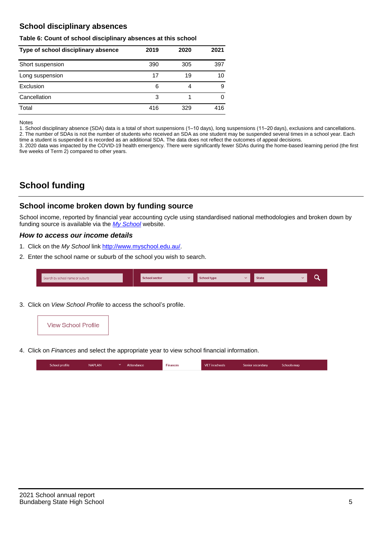# **School disciplinary absences**

#### **Table 6: Count of school disciplinary absences at this school**

| Type of school disciplinary absence | 2019 | 2020 | 2021 |
|-------------------------------------|------|------|------|
| Short suspension                    | 390  | 305  | 397  |
| Long suspension                     | 17   | 19   | 10   |
| Exclusion                           | 6    | 4    | 9    |
| Cancellation                        | 3    |      | 0    |
| Total                               | 416  | 329  | 416  |

Notes

1. School disciplinary absence (SDA) data is a total of short suspensions (1–10 days), long suspensions (11–20 days), exclusions and cancellations. 2. The number of SDAs is not the number of students who received an SDA as one student may be suspended several times in a school year. Each time a student is suspended it is recorded as an additional SDA. The data does not reflect the outcomes of appeal decisions.

3. 2020 data was impacted by the COVID-19 health emergency. There were significantly fewer SDAs during the home-based learning period (the first five weeks of Term 2) compared to other years.

# **School funding**

## **School income broken down by funding source**

School income, reported by financial year accounting cycle using standardised national methodologies and broken down by funding source is available via the [My School](http://www.myschool.edu.au/) website.

## **How to access our income details**

- 1. Click on the My School link <http://www.myschool.edu.au/>.
- 2. Enter the school name or suburb of the school you wish to search.

| Search by school name or suburb | <b>School sector</b> | School type | <b>State</b> |  |
|---------------------------------|----------------------|-------------|--------------|--|
|                                 |                      |             |              |  |

3. Click on View School Profile to access the school's profile.



4. Click on Finances and select the appropriate year to view school financial information.

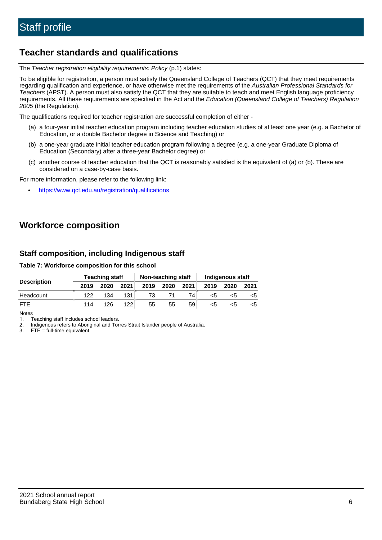# **Teacher standards and qualifications**

The Teacher registration eligibility requirements: Policy (p.1) states:

To be eligible for registration, a person must satisfy the Queensland College of Teachers (QCT) that they meet requirements regarding qualification and experience, or have otherwise met the requirements of the Australian Professional Standards for Teachers (APST). A person must also satisfy the QCT that they are suitable to teach and meet English language proficiency requirements. All these requirements are specified in the Act and the Education (Queensland College of Teachers) Regulation 2005 (the Regulation).

The qualifications required for teacher registration are successful completion of either -

- (a) a four-year initial teacher education program including teacher education studies of at least one year (e.g. a Bachelor of Education, or a double Bachelor degree in Science and Teaching) or
- (b) a one-year graduate initial teacher education program following a degree (e.g. a one-year Graduate Diploma of Education (Secondary) after a three-year Bachelor degree) or
- (c) another course of teacher education that the QCT is reasonably satisfied is the equivalent of (a) or (b). These are considered on a case-by-case basis.

For more information, please refer to the following link:

• <https://www.qct.edu.au/registration/qualifications>

# **Workforce composition**

# **Staff composition, including Indigenous staff**

### **Table 7: Workforce composition for this school**

|                    | <b>Teaching staff</b> |      |      | Non-teaching staff |      |      | Indigenous staff |      |      |
|--------------------|-----------------------|------|------|--------------------|------|------|------------------|------|------|
| <b>Description</b> | 2019                  | 2020 | 2021 | 2019               | 2020 | 2021 | 2019             | 2020 | 2021 |
| Headcount          | 122                   | 134  | 131  | 73                 |      | 74   | <5               | <5   |      |
| <b>FTE</b>         | 114                   | 126  | 122  | 55                 | 55   | 59   | <5               | <5   |      |

Notes

1. Teaching staff includes school leaders.

2. Indigenous refers to Aboriginal and Torres Strait Islander people of Australia.

3. FTE = full-time equivalent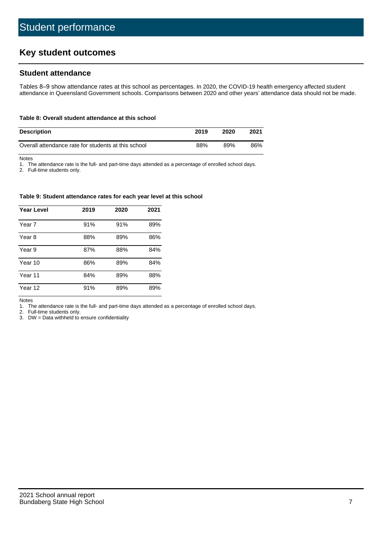# **Key student outcomes**

## **Student attendance**

Tables 8–9 show attendance rates at this school as percentages. In 2020, the COVID-19 health emergency affected student attendance in Queensland Government schools. Comparisons between 2020 and other years' attendance data should not be made.

#### **Table 8: Overall student attendance at this school**

| <b>Description</b>                                  | 2019 | 2020 | 2021 |
|-----------------------------------------------------|------|------|------|
| Overall attendance rate for students at this school | 88%  | 89%  | 86%  |

Notes

1. The attendance rate is the full- and part-time days attended as a percentage of enrolled school days.

2. Full-time students only.

#### **Table 9: Student attendance rates for each year level at this school**

| <b>Year Level</b> | 2019 | 2020 | 2021 |
|-------------------|------|------|------|
| Year 7            | 91%  | 91%  | 89%  |
| Year 8            | 88%  | 89%  | 86%  |
| Year 9            | 87%  | 88%  | 84%  |
| Year 10           | 86%  | 89%  | 84%  |
| Year 11           | 84%  | 89%  | 88%  |
| Year 12           | 91%  | 89%  | 89%  |

Notes

1. The attendance rate is the full- and part-time days attended as a percentage of enrolled school days.

2. Full-time students only.

3. DW = Data withheld to ensure confidentiality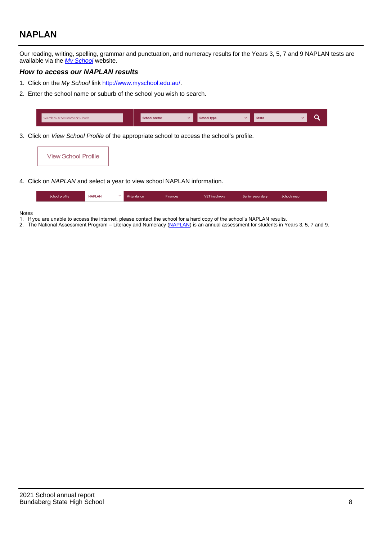# **NAPLAN**

Our reading, writing, spelling, grammar and punctuation, and numeracy results for the Years 3, 5, 7 and 9 NAPLAN tests are available via the [My School](http://www.myschool.edu.au/) website.

## **How to access our NAPLAN results**

- 1. Click on the My School link <http://www.myschool.edu.au/>.
- 2. Enter the school name or suburb of the school you wish to search.

| Search by school name or suburb | <b>School sector</b> | <b>School type</b>                        |          | <b>State</b> |  |
|---------------------------------|----------------------|-------------------------------------------|----------|--------------|--|
|                                 |                      |                                           |          |              |  |
|                                 |                      | $\sim$ $\sim$ $\sim$ $\sim$ $\sim$ $\sim$ | $\cdots$ |              |  |

3. Click on View School Profile of the appropriate school to access the school's profile.

| <b>View School Profile</b> |
|----------------------------|
|----------------------------|

4. Click on NAPLAN and select a year to view school NAPLAN information.

|  | School profile | <b>NAPLAN</b><br>$\sim$ 1 | Attendance | <b>Finances</b> | <b>VET</b> in schools | Senior secondary | Schools map |
|--|----------------|---------------------------|------------|-----------------|-----------------------|------------------|-------------|
|--|----------------|---------------------------|------------|-----------------|-----------------------|------------------|-------------|

#### Notes

- 1. If you are unable to access the internet, please contact the school for a hard copy of the school's NAPLAN results.
- 2. The National Assessment Program Literacy and Numeracy ([NAPLAN\)](http://www.nap.edu.au/naplan) is an annual assessment for students in Years 3, 5, 7 and 9.